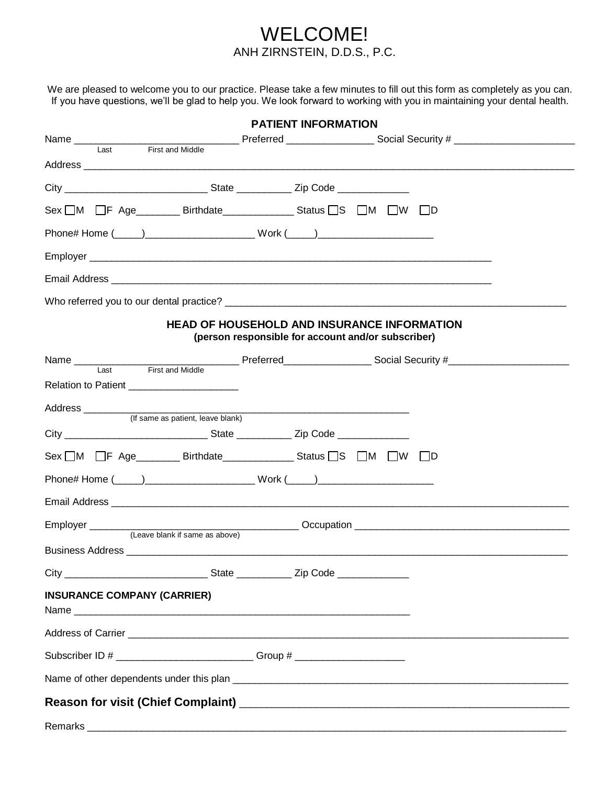## WELCOME! ANH ZIRNSTEIN, D.D.S., P.C.

We are pleased to welcome you to our practice. Please take a few minutes to fill out this form as completely as you can. If you have questions, we'll be glad to help you. We look forward to working with you in maintaining your dental health.

| <b>PATIENT INFORMATION</b>         |                                                                                                                        |  |                                                    |  |  |  |  |  |
|------------------------------------|------------------------------------------------------------------------------------------------------------------------|--|----------------------------------------------------|--|--|--|--|--|
| Name ____________                  |                                                                                                                        |  |                                                    |  |  |  |  |  |
|                                    | First and Middle                                                                                                       |  |                                                    |  |  |  |  |  |
|                                    |                                                                                                                        |  |                                                    |  |  |  |  |  |
|                                    |                                                                                                                        |  |                                                    |  |  |  |  |  |
|                                    |                                                                                                                        |  |                                                    |  |  |  |  |  |
|                                    | Phone# Home (_____)____________________________Work (_____)_____________________                                       |  |                                                    |  |  |  |  |  |
|                                    |                                                                                                                        |  |                                                    |  |  |  |  |  |
|                                    |                                                                                                                        |  |                                                    |  |  |  |  |  |
|                                    |                                                                                                                        |  |                                                    |  |  |  |  |  |
|                                    | <b>HEAD OF HOUSEHOLD AND INSURANCE INFORMATION</b>                                                                     |  | (person responsible for account and/or subscriber) |  |  |  |  |  |
|                                    |                                                                                                                        |  |                                                    |  |  |  |  |  |
| Last                               | First and Middle                                                                                                       |  |                                                    |  |  |  |  |  |
|                                    | Relation to Patient ____________________                                                                               |  |                                                    |  |  |  |  |  |
| Address ___________                | (If same as patient, leave blank)                                                                                      |  |                                                    |  |  |  |  |  |
|                                    |                                                                                                                        |  |                                                    |  |  |  |  |  |
|                                    |                                                                                                                        |  |                                                    |  |  |  |  |  |
|                                    | Phone# Home (_____)____________________________Work (_____)_____________________                                       |  |                                                    |  |  |  |  |  |
|                                    |                                                                                                                        |  |                                                    |  |  |  |  |  |
|                                    |                                                                                                                        |  |                                                    |  |  |  |  |  |
|                                    | (Leave blank if same as above)                                                                                         |  |                                                    |  |  |  |  |  |
|                                    |                                                                                                                        |  |                                                    |  |  |  |  |  |
| <b>INSURANCE COMPANY (CARRIER)</b> |                                                                                                                        |  |                                                    |  |  |  |  |  |
|                                    |                                                                                                                        |  |                                                    |  |  |  |  |  |
|                                    | Subscriber ID # ____________________________Group # ____________________________                                       |  |                                                    |  |  |  |  |  |
|                                    |                                                                                                                        |  |                                                    |  |  |  |  |  |
|                                    |                                                                                                                        |  |                                                    |  |  |  |  |  |
| Remarks                            | <u> 1989 - Johann Stoff, deutscher Stoffen und der Stoffen und der Stoffen und der Stoffen und der Stoffen und der</u> |  |                                                    |  |  |  |  |  |